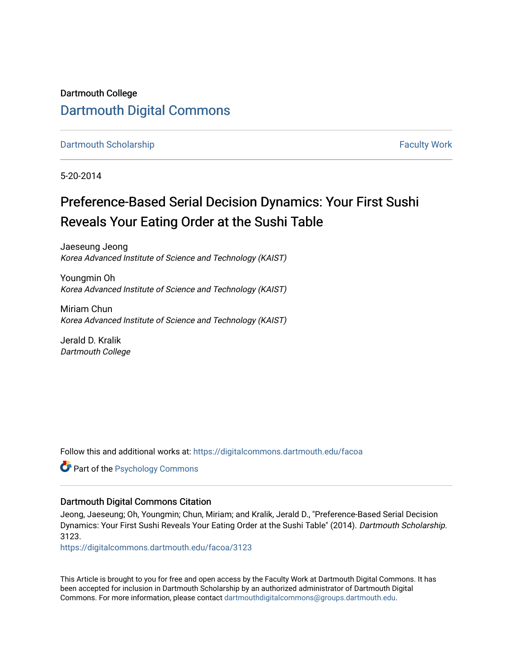## Dartmouth College [Dartmouth Digital Commons](https://digitalcommons.dartmouth.edu/)

[Dartmouth Scholarship](https://digitalcommons.dartmouth.edu/facoa) [Faculty Work](https://digitalcommons.dartmouth.edu/faculty) and The Basic Scholarship Faculty Work Faculty Work

5-20-2014

## Preference-Based Serial Decision Dynamics: Your First Sushi Reveals Your Eating Order at the Sushi Table

Jaeseung Jeong Korea Advanced Institute of Science and Technology (KAIST)

Youngmin Oh Korea Advanced Institute of Science and Technology (KAIST)

Miriam Chun Korea Advanced Institute of Science and Technology (KAIST)

Jerald D. Kralik Dartmouth College

Follow this and additional works at: [https://digitalcommons.dartmouth.edu/facoa](https://digitalcommons.dartmouth.edu/facoa?utm_source=digitalcommons.dartmouth.edu%2Ffacoa%2F3123&utm_medium=PDF&utm_campaign=PDFCoverPages)

Part of the [Psychology Commons](http://network.bepress.com/hgg/discipline/404?utm_source=digitalcommons.dartmouth.edu%2Ffacoa%2F3123&utm_medium=PDF&utm_campaign=PDFCoverPages) 

### Dartmouth Digital Commons Citation

Jeong, Jaeseung; Oh, Youngmin; Chun, Miriam; and Kralik, Jerald D., "Preference-Based Serial Decision Dynamics: Your First Sushi Reveals Your Eating Order at the Sushi Table" (2014). Dartmouth Scholarship. 3123.

[https://digitalcommons.dartmouth.edu/facoa/3123](https://digitalcommons.dartmouth.edu/facoa/3123?utm_source=digitalcommons.dartmouth.edu%2Ffacoa%2F3123&utm_medium=PDF&utm_campaign=PDFCoverPages) 

This Article is brought to you for free and open access by the Faculty Work at Dartmouth Digital Commons. It has been accepted for inclusion in Dartmouth Scholarship by an authorized administrator of Dartmouth Digital Commons. For more information, please contact [dartmouthdigitalcommons@groups.dartmouth.edu](mailto:dartmouthdigitalcommons@groups.dartmouth.edu).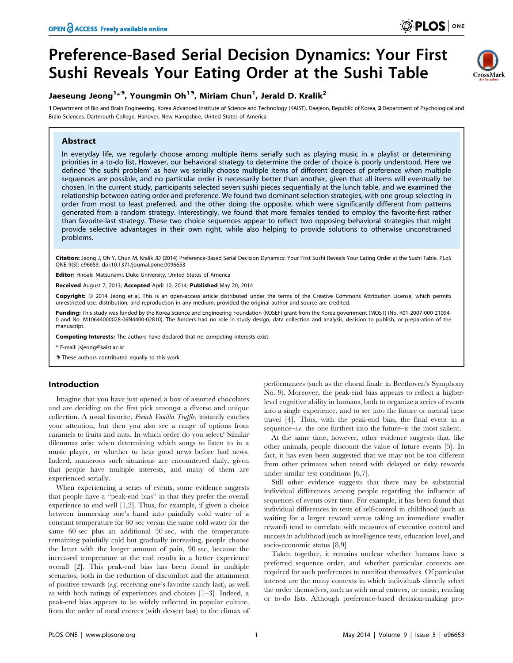# Preference-Based Serial Decision Dynamics: Your First Sushi Reveals Your Eating Order at the Sushi Table

### Jaeseung Jeong<sup>1</sup>\*<sup>9</sup>, Youngmin Oh<sup>19</sup>, Miriam Chun<sup>1</sup>, Jerald D. Kralik<sup>2</sup>

1 Department of Bio and Brain Engineering, Korea Advanced Institute of Science and Technology (KAIST), Daejeon, Republic of Korea, 2 Department of Psychological and Brain Sciences, Dartmouth College, Hanover, New Hampshire, United States of America

#### Abstract

In everyday life, we regularly choose among multiple items serially such as playing music in a playlist or determining priorities in a to-do list. However, our behavioral strategy to determine the order of choice is poorly understood. Here we defined 'the sushi problem' as how we serially choose multiple items of different degrees of preference when multiple sequences are possible, and no particular order is necessarily better than another, given that all items will eventually be chosen. In the current study, participants selected seven sushi pieces sequentially at the lunch table, and we examined the relationship between eating order and preference. We found two dominant selection strategies, with one group selecting in order from most to least preferred, and the other doing the opposite, which were significantly different from patterns generated from a random strategy. Interestingly, we found that more females tended to employ the favorite-first rather than favorite-last strategy. These two choice sequences appear to reflect two opposing behavioral strategies that might provide selective advantages in their own right, while also helping to provide solutions to otherwise unconstrained problems.

Citation: Jeong J, Oh Y, Chun M, Kralik JD (2014) Preference-Based Serial Decision Dynamics: Your First Sushi Reveals Your Eating Order at the Sushi Table. PLoS ONE 9(5): e96653. doi:10.1371/journal.pone.0096653

Editor: Hiroaki Matsunami, Duke University, United States of America

Received August 7, 2013; Accepted April 10, 2014; Published May 20, 2014

Copyright: @ 2014 Jeong et al. This is an open-access article distributed under the terms of the [Creative Commons Attribution License](http://creativecommons.org/licenses/by/4.0/), which permits unrestricted use, distribution, and reproduction in any medium, provided the original author and source are credited.

Funding: This study was funded by the Korea Science and Engineering Foundation (KOSEF) grant from the Korea government (MOST) (No. R01-2007-000-21094-0 and No. M10644000028-06N4400-02810). The funders had no role in study design, data collection and analysis, decision to publish, or preparation of the manuscript.

Competing Interests: The authors have declared that no competing interests exist.

\* E-mail: jsjeong@kaist.ac.kr

**.** These authors contributed equally to this work.

#### Introduction

Imagine that you have just opened a box of assorted chocolates and are deciding on the first pick amongst a diverse and unique collection. A usual favorite, French Vanilla Truffle, instantly catches your attention, but then you also see a range of options from caramels to fruits and nuts. In which order do you select? Similar dilemmas arise when determining which songs to listen to in a music player, or whether to hear good news before bad news. Indeed, numerous such situations are encountered daily, given that people have multiple interests, and many of them are experienced serially.

When experiencing a series of events, some evidence suggests that people have a ''peak-end bias'' in that they prefer the overall experience to end well [1,2]. Thus, for example, if given a choice between immersing one's hand into painfully cold water of a constant temperature for 60 sec versus the same cold water for the same 60 sec plus an additional 30 sec, with the temperature remaining painfully cold but gradually increasing, people choose the latter with the longer amount of pain, 90 sec, because the increased temperature at the end results in a better experience overall [2]. This peak-end bias has been found in multiple scenarios, both in the reduction of discomfort and the attainment of positive rewards (e.g. receiving one's favorite candy last), as well as with both ratings of experiences and choices [1–3]. Indeed, a peak-end bias appears to be widely reflected in popular culture, from the order of meal entrees (with dessert last) to the climax of

performances (such as the choral finale in Beethoven's Symphony No. 9). Moreover, the peak-end bias appears to reflect a higherlevel cognitive ability in humans, both to organize a series of events into a single experience, and to see into the future or mental time travel [4]. Thus, with the peak-end bias, the final event in a sequence–*i.e.* the one furthest into the future–is the most salient.

At the same time, however, other evidence suggests that, like other animals, people discount the value of future events [5]. In fact, it has even been suggested that we may not be too different from other primates when tested with delayed or risky rewards under similar test conditions [6,7].

Still other evidence suggests that there may be substantial individual differences among people regarding the influence of sequences of events over time. For example, it has been found that individual differences in tests of self-control in childhood (such as waiting for a larger reward versus taking an immediate smaller reward) tend to correlate with measures of executive control and success in adulthood (such as intelligence tests, education level, and socio-economic status [8,9].

Taken together, it remains unclear whether humans have a preferred sequence order, and whether particular contexts are required for such preferences to manifest themselves. Of particular interest are the many contexts in which individuals directly select the order themselves, such as with meal entrees, or music, reading or to-do lists. Although preference-based decision-making pro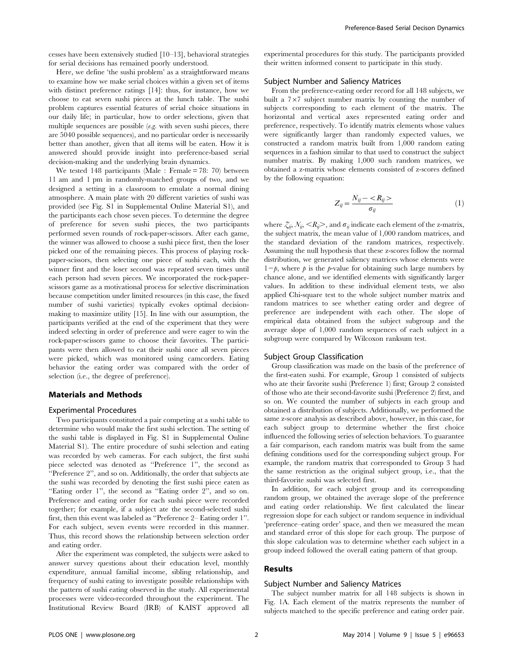cesses have been extensively studied [10–13], behavioral strategies for serial decisions has remained poorly understood.

Here, we define 'the sushi problem' as a straightforward means to examine how we make serial choices within a given set of items with distinct preference ratings [14]: thus, for instance, how we choose to eat seven sushi pieces at the lunch table. The sushi problem captures essential features of serial choice situations in our daily life; in particular, how to order selections, given that multiple sequences are possible (e.g. with seven sushi pieces, there are 5040 possible sequences), and no particular order is necessarily better than another, given that all items will be eaten. How it is answered should provide insight into preference-based serial decision-making and the underlying brain dynamics.

We tested 148 participants (Male: Female = 78: 70) between 11 am and 1 pm in randomly-matched groups of two, and we designed a setting in a classroom to emulate a normal dining atmosphere. A main plate with 20 different varieties of sushi was provided (see Fig. S1 in Supplemental Online Material S1), and the participants each chose seven pieces. To determine the degree of preference for seven sushi pieces, the two participants performed seven rounds of rock-paper-scissors. After each game, the winner was allowed to choose a sushi piece first, then the loser picked one of the remaining pieces. This process of playing rockpaper-scissors, then selecting one piece of sushi each, with the winner first and the loser second was repeated seven times until each person had seven pieces. We incorporated the rock-paperscissors game as a motivational process for selective discrimination because competition under limited resources (in this case, the fixed number of sushi varieties) typically evokes optimal decisionmaking to maximize utility [15]. In line with our assumption, the participants verified at the end of the experiment that they were indeed selecting in order of preference and were eager to win the rock-paper-scissors game to choose their favorites. The participants were then allowed to eat their sushi once all seven pieces were picked, which was monitored using camcorders. Eating behavior the eating order was compared with the order of selection (i.e., the degree of preference).

#### Materials and Methods

#### Experimental Procedures

Two participants constituted a pair competing at a sushi table to determine who would make the first sushi selection. The setting of the sushi table is displayed in Fig. S1 in Supplemental Online Material S1). The entire procedure of sushi selection and eating was recorded by web cameras. For each subject, the first sushi piece selected was denoted as ''Preference 1'', the second as ''Preference 2'', and so on. Additionally, the order that subjects ate the sushi was recorded by denoting the first sushi piece eaten as ''Eating order 1'', the second as ''Eating order 2'', and so on. Preference and eating order for each sushi piece were recorded together; for example, if a subject ate the second-selected sushi first, then this event was labeled as ''Preference 2– Eating order 1''. For each subject, seven events were recorded in this manner. Thus, this record shows the relationship between selection order and eating order.

After the experiment was completed, the subjects were asked to answer survey questions about their education level, monthly expenditure, annual familial income, sibling relationship, and frequency of sushi eating to investigate possible relationships with the pattern of sushi eating observed in the study. All experimental processes were video-recorded throughout the experiment. The Institutional Review Board (IRB) of KAIST approved all

experimental procedures for this study. The participants provided their written informed consent to participate in this study.

#### Subject Number and Saliency Matrices

From the preference-eating order record for all 148 subjects, we built a  $7\times7$  subject number matrix by counting the number of subjects corresponding to each element of the matrix. The horizontal and vertical axes represented eating order and preference, respectively. To identify matrix elements whose values were significantly larger than randomly expected values, we constructed a random matrix built from 1,000 random eating sequences in a fashion similar to that used to construct the subject number matrix. By making 1,000 such random matrices, we obtained a z-matrix whose elements consisted of z-scores defined by the following equation:

$$
Z_{ij} = \frac{N_{ij} - \langle R_{ij} \rangle}{\sigma_{ij}} \tag{1}
$$

where  $\zeta_{ii}, \zeta_{ii}, \zeta_{ii}, \zeta_{ii}$ , and  $\sigma_{ii}$  indicate each element of the z-matrix, the subject matrix, the mean value of 1,000 random matrices, and the standard deviation of the random matrices, respectively. Assuming the null hypothesis that these z-scores follow the normal distribution, we generated saliency matrices whose elements were  $1-p$ , where p is the p-value for obtaining such large numbers by chance alone, and we identified elements with significantly larger values. In addition to these individual element tests, we also applied Chi-square test to the whole subject number matrix and random matrices to see whether eating order and degree of preference are independent with each other. The slope of empirical data obtained from the subject subgroup and the average slope of 1,000 random sequences of each subject in a subgroup were compared by Wilcoxon ranksum test.

#### Subject Group Classification

Group classification was made on the basis of the preference of the first-eaten sushi. For example, Group 1 consisted of subjects who ate their favorite sushi (Preference 1) first; Group 2 consisted of those who ate their second-favorite sushi (Preference 2) first, and so on. We counted the number of subjects in each group and obtained a distribution of subjects. Additionally, we performed the same z-score analysis as described above, however, in this case, for each subject group to determine whether the first choice influenced the following series of selection behaviors. To guarantee a fair comparison, each random matrix was built from the same defining conditions used for the corresponding subject group. For example, the random matrix that corresponded to Group 3 had the same restriction as the original subject group, i.e., that the third-favorite sushi was selected first.

In addition, for each subject group and its corresponding random group, we obtained the average slope of the preference and eating order relationship. We first calculated the linear regression slope for each subject or random sequence in individual 'preference–eating order' space, and then we measured the mean and standard error of this slope for each group. The purpose of this slope calculation was to determine whether each subject in a group indeed followed the overall eating pattern of that group.

#### Results

#### Subject Number and Saliency Matrices

The subject number matrix for all 148 subjects is shown in Fig. 1A. Each element of the matrix represents the number of subjects matched to the specific preference and eating order pair.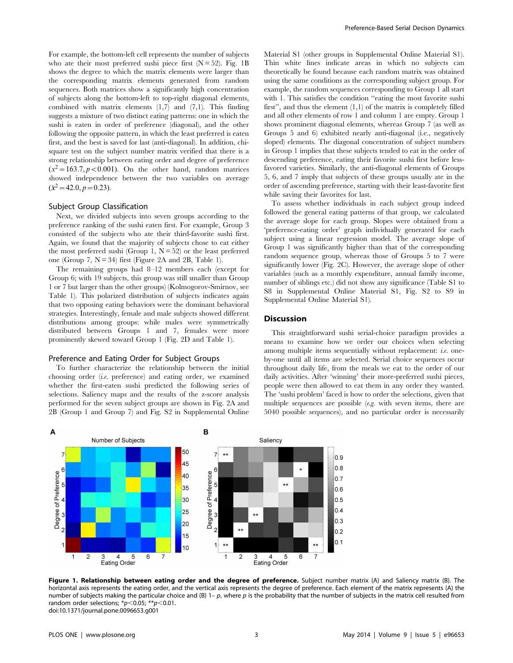For example, the bottom-left cell represents the number of subjects who ate their most preferred sushi piece first  $(N = 52)$ . Fig. 1B shows the degree to which the matrix elements were larger than the corresponding matrix elements generated from random sequences. Both matrices show a significantly high concentration of subjects along the bottom-left to top-right diagonal elements, combined with matrix elements  $(1,7)$  and  $(7,1)$ . This finding suggests a mixture of two distinct eating patterns: one in which the sushi is eaten in order of preference (diagonal), and the other following the opposite pattern, in which the least preferred is eaten first, and the best is saved for last (anti-diagonal). In addition, chisquare test on the subject number matrix verified that there is a strong relationship between eating order and degree of preference  $(x^2=163.7, p<0.001)$ . On the other hand, random matrices showed independence between the two variables on average  $(\bar{x}^2 = 42.0, p = 0.23).$ 

#### Subject Group Classification

Next, we divided subjects into seven groups according to the preference ranking of the sushi eaten first. For example, Group 3 consisted of the subjects who ate their third-favorite sushi first. Again, we found that the majority of subjects chose to eat either the most preferred sushi (Group 1,  $N = 52$ ) or the least preferred one (Group 7,  $N = 34$ ) first (Figure 2A and 2B, Table 1).

The remaining groups had 8–12 members each (except for Group 6; with 19 subjects, this group was still smaller than Group 1 or 7 but larger than the other groups) (Kolmogorov-Smirnov, see Table 1). This polarized distribution of subjects indicates again that two opposing eating behaviors were the dominant behavioral strategies. Interestingly, female and male subjects showed different distributions among groups: while males were symmetrically distributed between Groups 1 and 7, females were more prominently skewed toward Group 1 (Fig. 2D and Table 1).

#### Preference and Eating Order for Subject Groups

To further characterize the relationship between the initial choosing order (i.e. preference) and eating order, we examined whether the first-eaten sushi predicted the following series of selections. Saliency maps and the results of the z-score analysis performed for the seven subject groups are shown in Fig. 2A and 2B (Group 1 and Group 7) and Fig. S2 in Supplemental Online Material S1 (other groups in Supplemental Online Material S1). Thin white lines indicate areas in which no subjects can theoretically be found because each random matrix was obtained using the same conditions as the corresponding subject group. For example, the random sequences corresponding to Group 1 all start with 1. This satisfies the condition "eating the most favorite sushi first", and thus the element  $(1,1)$  of the matrix is completely filled and all other elements of row 1 and column 1 are empty. Group 1 shows prominent diagonal elements, whereas Group 7 (as well as Groups 5 and 6) exhibited nearly anti-diagonal (i.e., negatively sloped) elements. The diagonal concentration of subject numbers in Group 1 implies that these subjects tended to eat in the order of descending preference, eating their favorite sushi first before lessfavored varieties. Similarly, the anti-diagonal elements of Groups 5, 6, and 7 imply that subjects of these groups usually ate in the order of ascending preference, starting with their least-favorite first while saving their favorites for last.

To assess whether individuals in each subject group indeed followed the general eating patterns of that group, we calculated the average slope for each group. Slopes were obtained from a 'preference-eating order' graph individually generated for each subject using a linear regression model. The average slope of Group 1 was significantly higher than that of the corresponding random sequence group, whereas those of Groups 5 to 7 were significantly lower (Fig. 2C). However, the average slope of other variables (such as a monthly expenditure, annual family income, number of siblings etc.) did not show any significance (Table S1 to S8 in Supplemental Online Material S1, Fig. S2 to S9 in Supplemental Online Material S1).

#### Discussion

This straightforward sushi serial-choice paradigm provides a means to examine how we order our choices when selecting among multiple items sequentially without replacement: i.e. oneby-one until all items are selected. Serial choice sequences occur throughout daily life, from the meals we eat to the order of our daily activities. After 'winning' their more-preferred sushi pieces, people were then allowed to eat them in any order they wanted. The 'sushi problem' faced is how to order the selections, given that multiple sequences are possible  $(e.g.,$  with seven items, there are 5040 possible sequences), and no particular order is necessarily



Figure 1. Relationship between eating order and the degree of preference. Subject number matrix (A) and Saliency matrix (B). The horizontal axis represents the eating order, and the vertical axis represents the degree of preference. Each element of the matrix represents (A) the number of subjects making the particular choice and (B)  $1-p$ , where p is the probability that the number of subjects in the matrix cell resulted from random order selections;  $p$ <sup>*k*</sup> $p$  < 0.05; \*\*p < 0.01. doi:10.1371/journal.pone.0096653.g001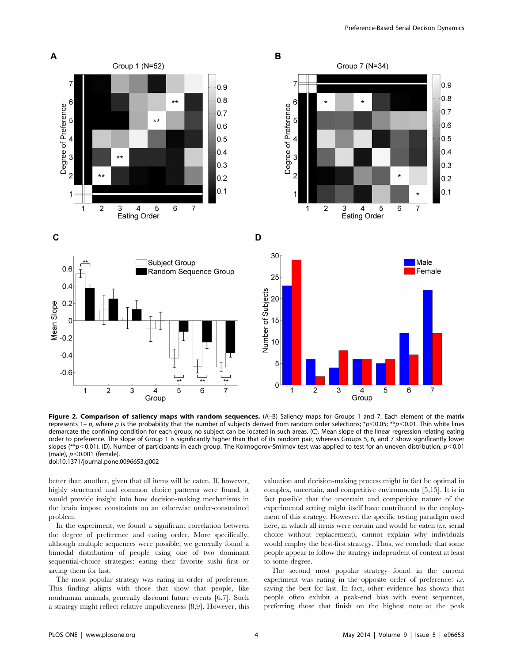

Figure 2. Comparison of saliency maps with random sequences. (A-B) Saliency maps for Groups 1 and 7. Each element of the matrix represents 1– p, where p is the probability that the number of subjects derived from random order selections; \*p<0.05; \*\*p<0.01. Thin white lines demarcate the confining condition for each group; no subject can be located in such areas. (C). Mean slope of the linear regression relating eating order to preference. The slope of Group 1 is significantly higher than that of its random pair, whereas Groups 5, 6, and 7 show significantly lower slopes (\*\*p<0.01). (D). Number of participants in each group. The Kolmogorov-Smirnov test was applied to test for an uneven distribution,  $p<0.01$ (male),  $p<$  0.001 (female). doi:10.1371/journal.pone.0096653.g002

better than another, given that all items will be eaten. If, however, highly structured and common choice patterns were found, it would provide insight into how decision-making mechanisms in the brain impose constraints on an otherwise under-constrained problem.

In the experiment, we found a significant correlation between the degree of preference and eating order. More specifically, although multiple sequences were possible, we generally found a bimodal distribution of people using one of two dominant sequential-choice strategies: eating their favorite sushi first or saving them for last.

The most popular strategy was eating in order of preference. This finding aligns with those that show that people, like nonhuman animals, generally discount future events [6,7]. Such a strategy might reflect relative impulsiveness [8,9]. However, this valuation and decision-making process might in fact be optimal in complex, uncertain, and competitive environments [5,15]. It is in fact possible that the uncertain and competitive nature of the experimental setting might itself have contributed to the employment of this strategy. However, the specific testing paradigm used here, in which all items were certain and would be eaten (i.e. serial choice without replacement), cannot explain why individuals would employ the best-first strategy. Thus, we conclude that some people appear to follow the strategy independent of context at least to some degree.

The second most popular strategy found in the current experiment was eating in the opposite order of preference: *i.e.* saving the best for last. In fact, other evidence has shown that people often exhibit a peak-end bias with event sequences, preferring those that finish on the highest note–at the peak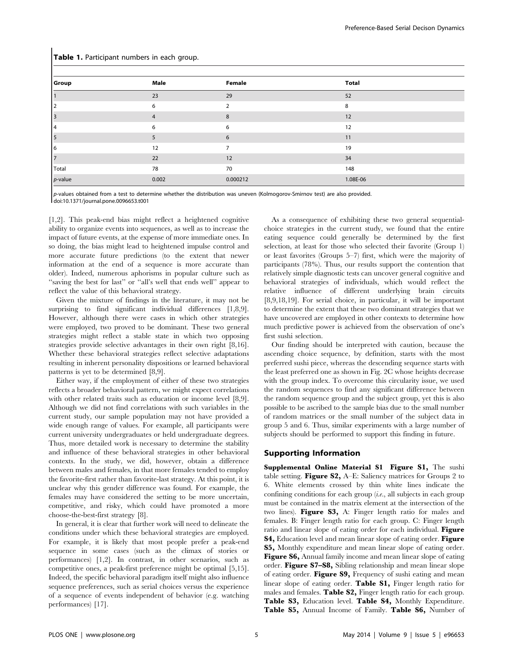| Group      | Male           | Female         | <b>Total</b> |
|------------|----------------|----------------|--------------|
|            | 23             | 29             | 52           |
|            | 6              | $\overline{2}$ | 8            |
|            | $\overline{4}$ | 8              | 12           |
|            | 6              | 6              | 12           |
|            | 5              | 6              | 11           |
| O          | 12             | $\overline{7}$ | 19           |
|            | 22             | 12             | 34           |
| Total      | 78             | 70             | 148          |
| $p$ -value | 0.002          | 0.000212       | 1.08E-06     |

#### Table 1. Participant numbers in each group.

p-values obtained from a test to determine whether the distribution was uneven (Kolmogorov-Smirnov test) are also provided. doi:10.1371/journal.pone.0096653.t001

[1,2]. This peak-end bias might reflect a heightened cognitive ability to organize events into sequences, as well as to increase the impact of future events, at the expense of more immediate ones. In so doing, the bias might lead to heightened impulse control and more accurate future predictions (to the extent that newer information at the end of a sequence is more accurate than older). Indeed, numerous aphorisms in popular culture such as "saving the best for last" or "all's well that ends well" appear to reflect the value of this behavioral strategy.

Given the mixture of findings in the literature, it may not be surprising to find significant individual differences [1,8,9]. However, although there were cases in which other strategies were employed, two proved to be dominant. These two general strategies might reflect a stable state in which two opposing strategies provide selective advantages in their own right [8,16]. Whether these behavioral strategies reflect selective adaptations resulting in inherent personality dispositions or learned behavioral patterns is yet to be determined [8,9].

Either way, if the employment of either of these two strategies reflects a broader behavioral pattern, we might expect correlations with other related traits such as education or income level [8,9]. Although we did not find correlations with such variables in the current study, our sample population may not have provided a wide enough range of values. For example, all participants were current university undergraduates or held undergraduate degrees. Thus, more detailed work is necessary to determine the stability and influence of these behavioral strategies in other behavioral contexts. In the study, we did, however, obtain a difference between males and females, in that more females tended to employ the favorite-first rather than favorite-last strategy. At this point, it is unclear why this gender difference was found. For example, the females may have considered the setting to be more uncertain, competitive, and risky, which could have promoted a more choose-the-best-first strategy [8].

In general, it is clear that further work will need to delineate the conditions under which these behavioral strategies are employed. For example, it is likely that most people prefer a peak-end sequence in some cases (such as the climax of stories or performances) [1,2]. In contrast, in other scenarios, such as competitive ones, a peak-first preference might be optimal [5,15]. Indeed, the specific behavioral paradigm itself might also influence sequence preferences, such as serial choices versus the experience of a sequence of events independent of behavior (e.g. watching performances) [17].

As a consequence of exhibiting these two general sequentialchoice strategies in the current study, we found that the entire eating sequence could generally be determined by the first selection, at least for those who selected their favorite (Group 1) or least favorites (Groups 5–7) first, which were the majority of participants (78%). Thus, our results support the contention that relatively simple diagnostic tests can uncover general cognitive and behavioral strategies of individuals, which would reflect the relative influence of different underlying brain circuits [8,9,18,19]. For serial choice, in particular, it will be important to determine the extent that these two dominant strategies that we have uncovered are employed in other contexts to determine how much predictive power is achieved from the observation of one's first sushi selection.

Our finding should be interpreted with caution, because the ascending choice sequence, by definition, starts with the most preferred sushi piece, whereas the descending sequence starts with the least preferred one as shown in Fig. 2C whose heights decrease with the group index. To overcome this circularity issue, we used the random sequences to find any significant difference between the random sequence group and the subject group, yet this is also possible to be ascribed to the sample bias due to the small number of random matrices or the small number of the subject data in group 5 and 6. Thus, similar experiments with a large number of subjects should be performed to support this finding in future.

#### Supporting Information

Supplemental Online Material S1 Figure S1, The sushi table setting. Figure S2, A–E: Saliency matrices for Groups 2 to 6. White elements crossed by thin white lines indicate the confining conditions for each group  $(i.e.,$  all subjects in each group must be contained in the matrix element at the intersection of the two lines). Figure S3, A: Finger length ratio for males and females. B: Finger length ratio for each group. C: Finger length ratio and linear slope of eating order for each individual. Figure S4, Education level and mean linear slope of eating order. Figure S5, Monthly expenditure and mean linear slope of eating order. Figure S6, Annual family income and mean linear slope of eating order. Figure S7–S8, Sibling relationship and mean linear slope of eating order. Figure S9, Frequency of sushi eating and mean linear slope of eating order. **Table S1**, Finger length ratio for males and females. Table S2, Finger length ratio for each group. Table S3, Education level. Table S4, Monthly Expenditure. Table S5, Annual Income of Family. Table S6, Number of